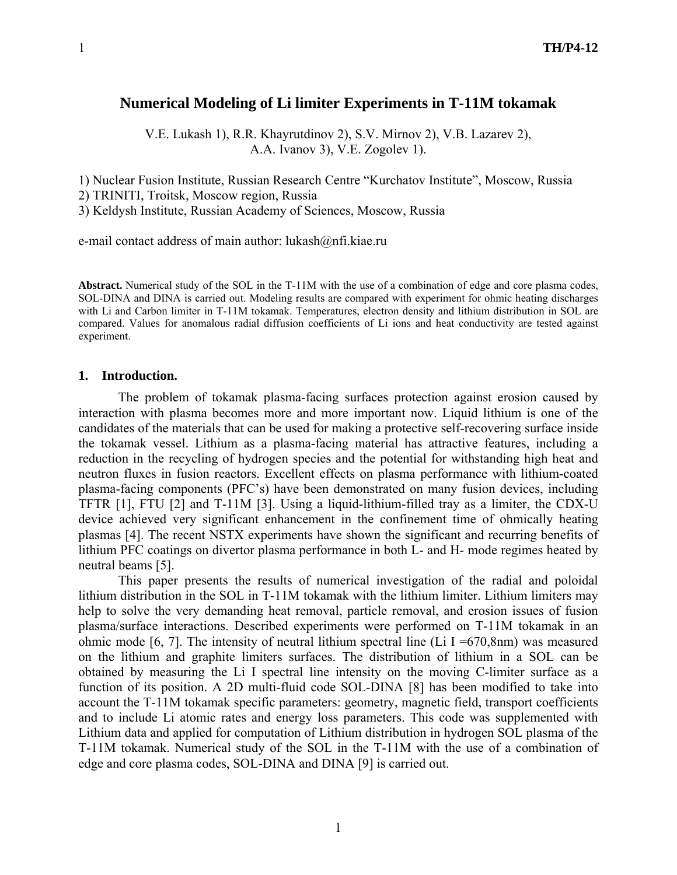# **Numerical Modeling of Li limiter Experiments in T-11M tokamak**

V.E. Lukash 1), R.R. Khayrutdinov 2), S.V. Mirnov 2), V.B. Lazarev 2), A.A. Ivanov 3), V.E. Zogolev 1).

1) Nuclear Fusion Institute, Russian Research Centre "Kurchatov Institute", Moscow, Russia 2) TRINITI, Troitsk, Moscow region, Russia

3) Keldysh Institute, Russian Academy of Sciences, Moscow, Russia

e-mail contact address of main author: lukash@nfi.kiae.ru

**Abstract.** Numerical study of the SOL in the T-11M with the use of a combination of edge and core plasma codes, SOL-DINA and DINA is carried out. Modeling results are compared with experiment for ohmic heating discharges with Li and Carbon limiter in T-11M tokamak. Temperatures, electron density and lithium distribution in SOL are compared. Values for anomalous radial diffusion coefficients of Li ions and heat conductivity are tested against experiment.

#### **1. Introduction.**

 The problem of tokamak plasma-facing surfaces protection against erosion caused by interaction with plasma becomes more and more important now. Liquid lithium is one of the candidates of the materials that can be used for making a protective self-recovering surface inside the tokamak vessel. Lithium as a plasma-facing material has attractive features, including a reduction in the recycling of hydrogen species and the potential for withstanding high heat and neutron fluxes in fusion reactors. Excellent effects on plasma performance with lithium-coated plasma-facing components (PFC's) have been demonstrated on many fusion devices, including TFTR [1], FTU [2] and T-11M [3]. Using a liquid-lithium-filled tray as a limiter, the CDX-U device achieved very significant enhancement in the confinement time of ohmically heating plasmas [4]. The recent NSTX experiments have shown the significant and recurring benefits of lithium PFC coatings on divertor plasma performance in both L- and H- mode regimes heated by neutral beams [5].

 This paper presents the results of numerical investigation of the radial and poloidal lithium distribution in the SOL in Т-11М tokamak with the lithium limiter. Lithium limiters may help to solve the very demanding heat removal, particle removal, and erosion issues of fusion plasma/surface interactions. Described experiments were performed on Т-11М tokamak in an ohmic mode [6, 7]. The intensity of neutral lithium spectral line (Li I =670,8nm) was measured on the lithium and graphite limiters surfaces. The distribution of lithium in a SOL can be obtained by measuring the Li I spectral line intensity on the moving C-limiter surface as a function of its position. A 2D multi-fluid code SOL-DINA [8] has been modified to take into account the T-11M tokamak specific parameters: geometry, magnetic field, transport coefficients and to include Li atomic rates and energy loss parameters. This code was supplemented with Lithium data and applied for computation of Lithium distribution in hydrogen SOL plasma of the T-11M tokamak. Numerical study of the SOL in the T-11M with the use of a combination of edge and core plasma codes, SOL-DINA and DINA [9] is carried out.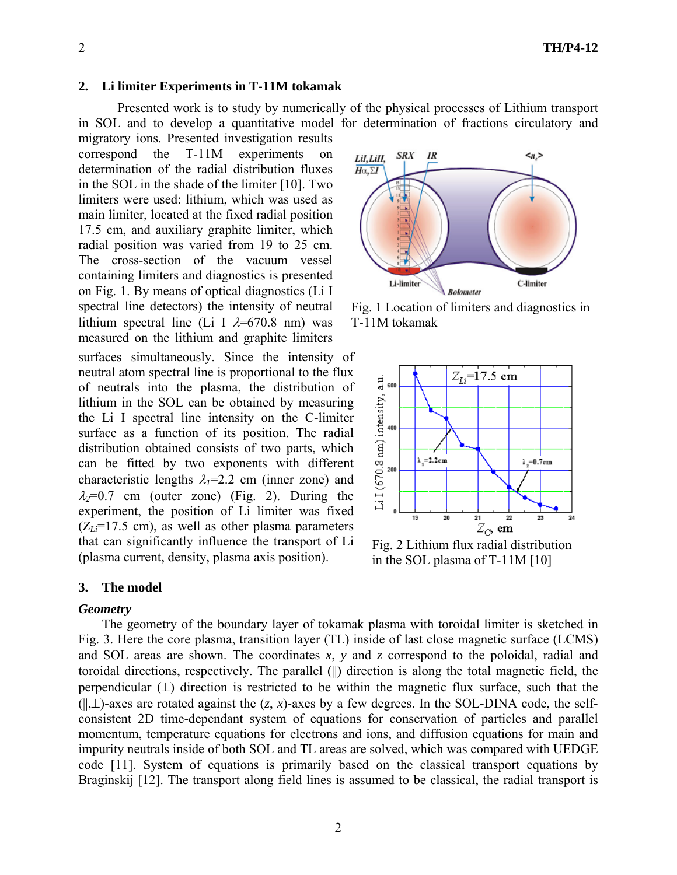#### **2. Li limiter Experiments in T-11M tokamak**

Presented work is to study by numerically of the physical processes of Lithium transport in SOL and to develop a quantitative model for determination of fractions circulatory and migratory ions. Presented investigation results

 $correspond$  the  $T-11M$  experiments determination of the radial distribution fluxes in the SOL in the shade of the limiter [10]. Two limiters were used: lithium, which was used as main limiter, located at the fixed radial position 17.5 cm, and auxiliary graphite limiter, which radial position was varied from 19 to 25 cm. The cross-section of the vacuum vessel containing limiters and diagnostics is presented on Fig. 1. By means of optical diagnostics (Li I spectral line detectors) the intensity of neutral lithium spectral line (Li I  $\lambda$ =670.8 nm) was measured on the lithium and graphite limiters surfaces simultaneously. Since the intensity of neutral atom spectral line is proportional to the flux of neutrals into the plasma, the distribution of lithium in the SOL can be obtained by measuring the Li I spectral line intensity on the C-limiter surface as a function of its position. The radial distribution obtained consists of two parts, which can be fitted by two exponents with different characteristic lengths  $\lambda$ <sub>*I</sub>*=2.2 cm (inner zone) and</sub>  $\lambda_2=0.7$  cm (outer zone) (Fig. 2). During the experiment, the position of Li limiter was fixed  $(Z_{Li} = 17.5$  cm), as well as other plasma parameters that can significantly influence the transport of Li (plasma current, density, plasma axis position).

#### **3. The model**

#### *Geometry*

The geometry of the boundary layer of tokamak plasma with toroidal limiter is sketched in Fig. 3. Here the core plasma, transition layer (TL) inside of last close magnetic surface (LCMS) and SOL areas are shown. The coordinates *x*, *y* and *z* correspond to the poloidal, radial and toroidal directions, respectively. The parallel (||) direction is along the total magnetic field, the perpendicular  $(L)$  direction is restricted to be within the magnetic flux surface, such that the (||,⊥)-axes are rotated against the (*z*, *x*)-axes by a few degrees. In the SOL-DINA code, the selfconsistent 2D time-dependant system of equations for conservation of particles and parallel momentum, temperature equations for electrons and ions, and diffusion equations for main and impurity neutrals inside of both SOL and TL areas are solved, which was compared with UEDGE code [11]. System of equations is primarily based on the classical transport equations by Braginskij [12]. The transport along field lines is assumed to be classical, the radial transport is



Fig. 1 Location of limiters and diagnostics in T-11M tokamak



Fig. 2 Lithium flux radial distribution in the SOL plasma of T-11M [10]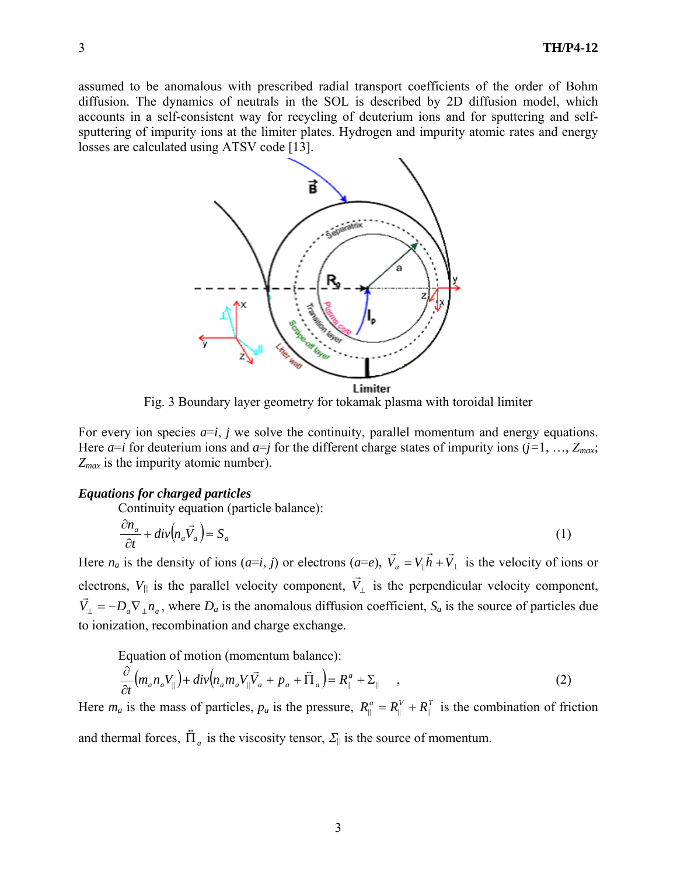assumed to be anomalous with prescribed radial transport coefficients of the order of Bohm diffusion. The dynamics of neutrals in the SOL is described by 2D diffusion model, which accounts in a self-consistent way for recycling of deuterium ions and for sputtering and selfsputtering of impurity ions at the limiter plates. Hydrogen and impurity atomic rates and energy losses are calculated using ATSV code [13].



Fig. 3 Boundary layer geometry for tokamak plasma with toroidal limiter

For every ion species  $a=i$ , *j* we solve the continuity, parallel momentum and energy equations. Here  $a=i$  for deuterium ions and  $a=j$  for the different charge states of impurity ions  $(j=1, ..., Z_{max})$ ; *Zmax* is the impurity atomic number).

### *Equations for charged particles*

Continuity equation (particle balance):

$$
\frac{\partial n_a}{\partial t} + \operatorname{div}\left(n_a \vec{V}_a\right) = S_a \tag{1}
$$

Here *n<sub>a</sub>* is the density of ions  $(a=i, j)$  or electrons  $(a=e)$ ,  $V_a = V_{\parallel}h + V_{\perp}$  $\vec{r}$  r  $\vec{r}$  r  $\vec{r}$  $|h + V_{\perp}|$  is the velocity of ions or electrons,  $V_{\parallel}$  is the parallel velocity component,  $\vec{V}_{\perp}$  is the perpendicular velocity component,  $\vec{V}_{\perp} = -D_a \nabla_{\perp} n_a$ , where  $D_a$  is the anomalous diffusion coefficient,  $S_a$  is the source of particles due to ionization, recombination and charge exchange.

Equation of motion (momentum balance):

$$
\frac{\partial}{\partial t}\left(m_a n_a V_{\parallel}\right) + \operatorname{div}\left(n_a m_a V_{\parallel} \vec{V}_a + p_a + \vec{\Pi}_a\right) = R_{\parallel}^a + \Sigma_{\parallel} \quad , \tag{2}
$$

Here  $m_a$  is the mass of particles,  $p_a$  is the pressure,  $R_{\parallel}^a = R_{\parallel}^V + R_{\parallel}^T$  is the combination of friction and thermal forces,  $\overline{\Pi}_a$  is the viscosity tensor,  $\Sigma_{\parallel}$  is the source of momentum.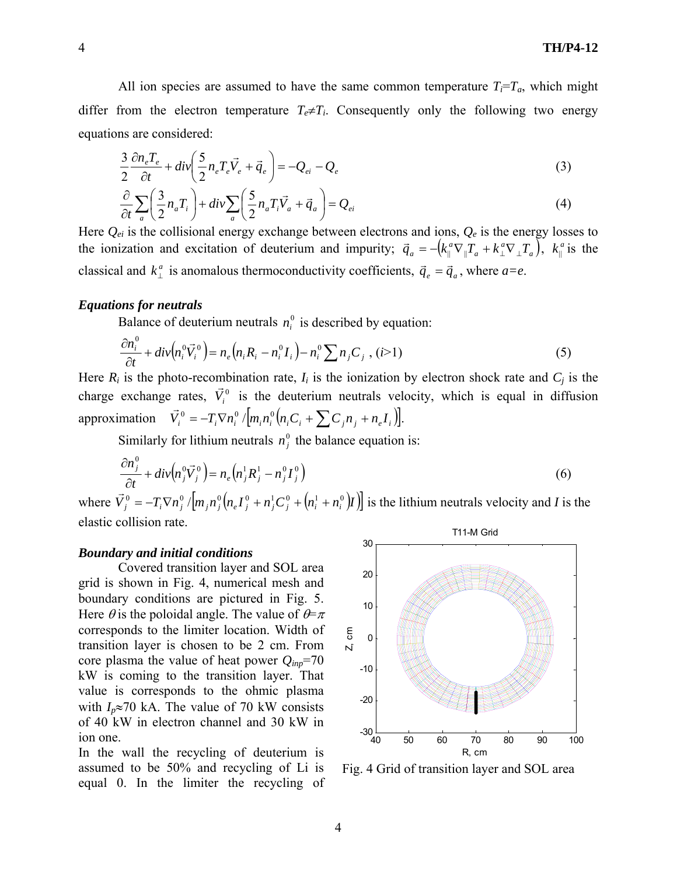$$
\frac{3}{2}\frac{\partial n_e T_e}{\partial t} + \text{div}\left(\frac{5}{2}n_e T_e \vec{V}_e + \vec{q}_e\right) = -Q_{ei} - Q_e
$$
\n<sup>(3)</sup>

$$
\frac{\partial}{\partial t} \sum_{a} \left( \frac{3}{2} n_a T_i \right) + \frac{d}{v} \sum_{a} \left( \frac{5}{2} n_a T_i \vec{V}_a + \vec{q}_a \right) = Q_{ei}
$$
\n<sup>(4)</sup>

Here *Qei* is the collisional energy exchange between electrons and ions, *Qe* is the energy losses to the ionization and excitation of deuterium and impurity;  $\vec{q}_a = -\left(k_\parallel^a \nabla_\parallel T_a + k_\perp^a \nabla_\perp T_a\right)$  $\vec{q}_a = -\left(k_\parallel^a \nabla_\parallel T_a + k_\perp^a \nabla_\perp T_a\right)$ ,  $k_\parallel^a$  is the classical and  $k_{\perp}^a$  is anomalous thermoconductivity coefficients,  $\vec{q}_e = \vec{q}_a$ , where  $a=e$ .

### *Equations for neutrals*

Balance of deuterium neutrals  $n_i^0$  is described by equation:

$$
\frac{\partial n_i^0}{\partial t} + \operatorname{div}\left(n_i^0 \vec{V}_i^0\right) = n_e \left(n_i R_i - n_i^0 I_i\right) - n_i^0 \sum n_j C_j \ , \ (i > 1)
$$
\n
$$
\tag{5}
$$

Here  $R_i$  is the photo-recombination rate,  $I_i$  is the ionization by electron shock rate and  $C_j$  is the charge exchange rates,  $\vec{V}_i^0$  is the deuterium neutrals velocity, which is equal in diffusion approximation  $\vec{V}_i^0 = -T_i \nabla n_i^0 / [m_i n_i^0 (n_i C_i + \sum C_i n_i + n_e I_i)].$ 

Similarly for lithium neutrals  $n_j^0$  the balance equation is:

$$
\frac{\partial n_j^0}{\partial t} + \operatorname{div}\left(n_j^0 \vec{V}_j^0\right) = n_e\left(n_j^1 R_j^1 - n_j^0 I_j^0\right) \tag{6}
$$

where  $\vec{V}_j^0 = -T_i \nabla n_j^0 / [m_j n_j^0 (n_e I_j^0 + n_j^1 C_j^0 + (n_i^1 + n_i^0) I)]$  is the lithium neutrals velocity and *I* is the elastic collision rate.

### *Boundary and initial conditions*

Covered transition layer and SOL area grid is shown in Fig. 4, numerical mesh and boundary conditions are pictured in Fig. 5. Here  $\theta$  is the poloidal angle. The value of  $\theta = \pi$ corresponds to the limiter location. Width of transition layer is chosen to be 2 cm. From core plasma the value of heat power *Qinp*=70 kW is coming to the transition layer. That value is corresponds to the ohmic plasma with  $I_p \approx 70$  kA. The value of 70 kW consists of 40 kW in electron channel and 30 kW in ion one.

In the wall the recycling of deuterium is assumed to be 50% and recycling of Li is equal 0. In the limiter the recycling of



Fig. 4 Grid of transition layer and SOL area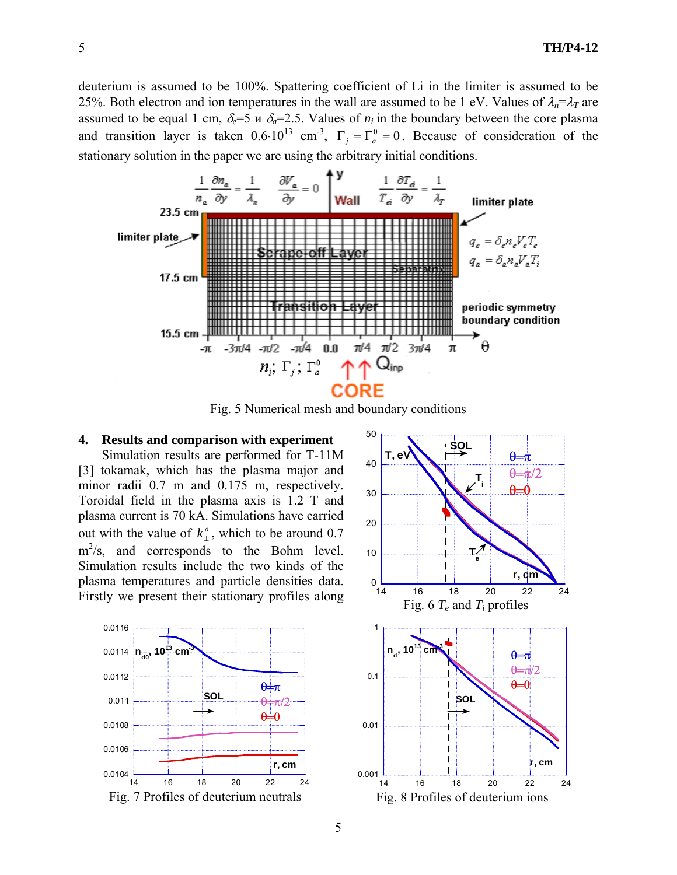deuterium is assumed to be 100%. Spattering coefficient of Li in the limiter is assumed to be 25%. Both electron and ion temperatures in the wall are assumed to be 1 eV. Values of  $\lambda_n = \lambda_T$  are assumed to be equal 1 cm,  $\delta_e = 5$  *n*  $\delta_a = 2.5$ . Values of  $n_i$  in the boundary between the core plasma and transition layer is taken  $0.6 \cdot 10^{13}$  cm<sup>-3</sup>,  $\Gamma_i = \Gamma_a^0 = 0$ . Because of consideration of the stationary solution in the paper we are using the arbitrary initial conditions.



Fig. 5 Numerical mesh and boundary conditions

## **4. Results and comparison with experiment**

Simulation results are performed for T-11M [3] tokamak, which has the plasma major and minor radii 0.7 m and 0.175 m, respectively. Toroidal field in the plasma axis is 1.2 T and plasma current is 70 kA. Simulations have carried out with the value of  $k_{\perp}^a$ , which to be around 0.7  $\text{m}^2/\text{s}$ , and corresponds to the Bohm level. Simulation results include the two kinds of the plasma temperatures and particle densities data. Firstly we present their stationary profiles along



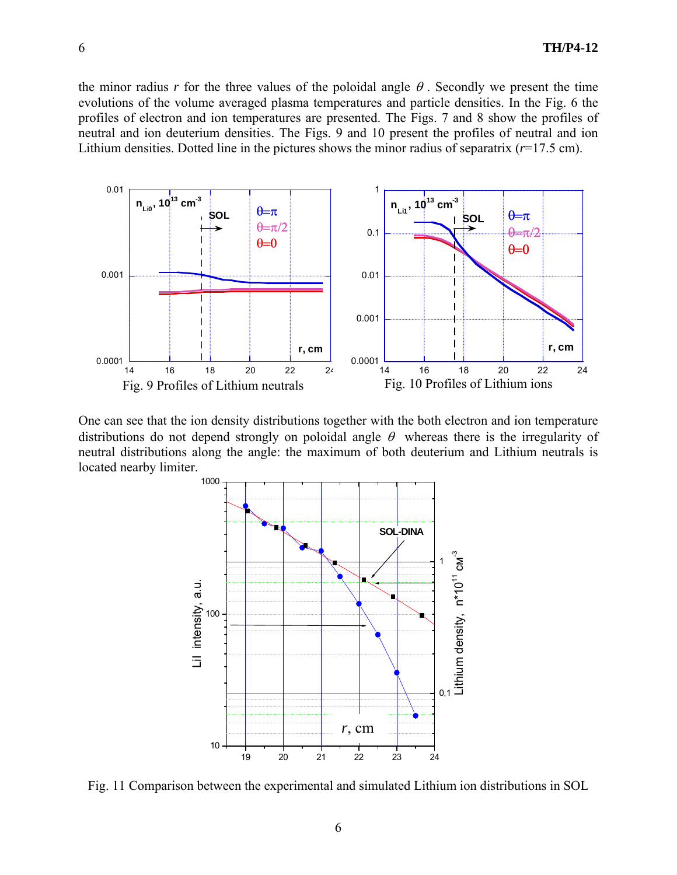the minor radius *r* for the three values of the poloidal angle  $\theta$ . Secondly we present the time evolutions of the volume averaged plasma temperatures and particle densities. In the Fig. 6 the profiles of electron and ion temperatures are presented. The Figs. 7 and 8 show the profiles of neutral and ion deuterium densities. The Figs. 9 and 10 present the profiles of neutral and ion Lithium densities. Dotted line in the pictures shows the minor radius of separatrix  $(r=17.5 \text{ cm})$ .



One can see that the ion density distributions together with the both electron and ion temperature distributions do not depend strongly on poloidal angle  $\theta$  whereas there is the irregularity of neutral distributions along the angle: the maximum of both deuterium and Lithium neutrals is located nearby limiter.



Fig. 11 Comparison between the experimental and simulated Lithium ion distributions in SOL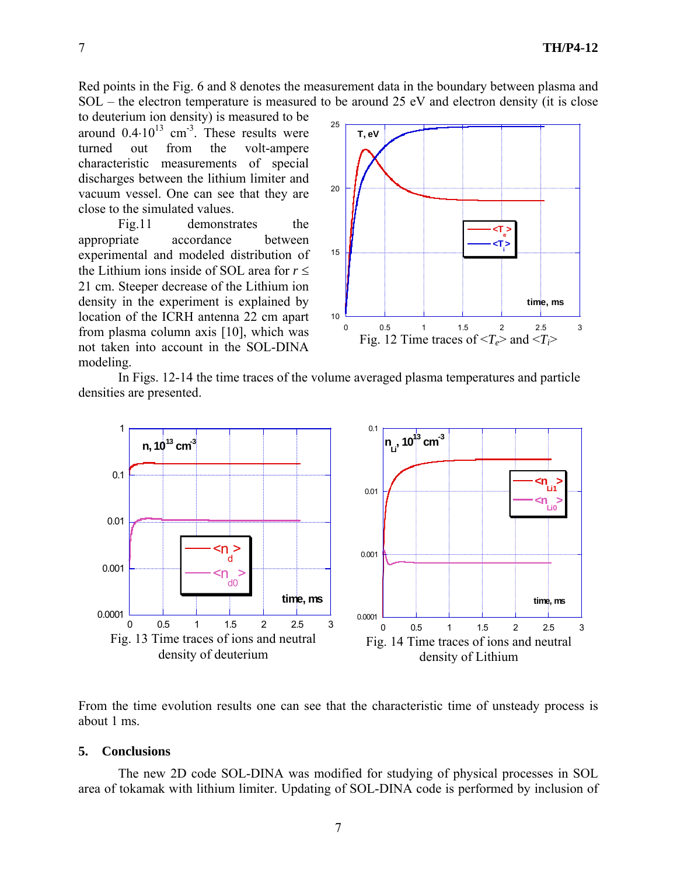Red points in the Fig. 6 and 8 denotes the measurement data in the boundary between plasma and SOL – the electron temperature is measured to be around 25 eV and electron density (it is close

to deuterium ion density) is measured to be around  $0.4 \cdot 10^{13}$  cm<sup>-3</sup>. These results were turned out from the volt-ampere characteristic measurements of special discharges between the lithium limiter and vacuum vessel. One can see that they are close to the simulated values.

Fig.11 demonstrates the appropriate accordance between experimental and modeled distribution of the Lithium ions inside of SOL area for  $r \leq$ 21 cm. Steeper decrease of the Lithium ion density in the experiment is explained by location of the ICRH antenna 22 cm apart from plasma column axis [10], which was not taken into account in the SOL-DINA modeling.



 In Figs. 12-14 the time traces of the volume averaged plasma temperatures and particle densities are presented.



From the time evolution results one can see that the characteristic time of unsteady process is about 1 ms.

#### **5. Conclusions**

The new 2D code SOL-DINA was modified for studying of physical processes in SOL area of tokamak with lithium limiter. Updating of SOL-DINA code is performed by inclusion of